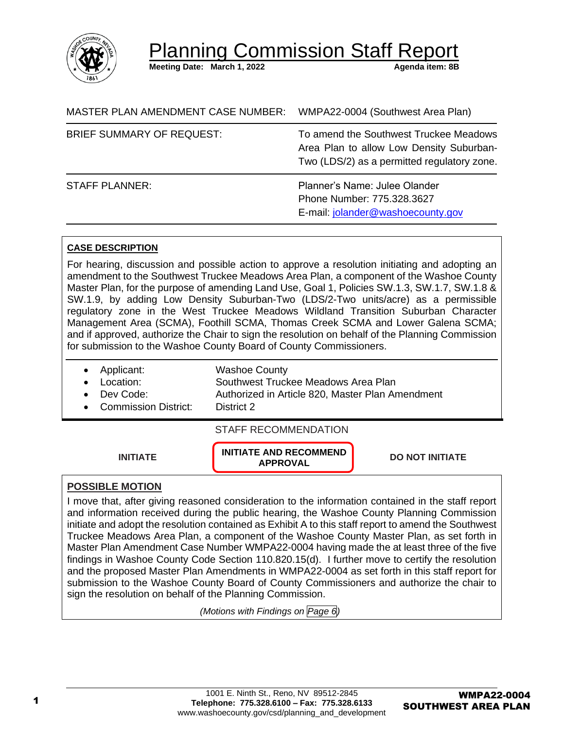

Planning Commission Staff Re

**Meeting Date: March 1, 2022** Agenda item: 8B

| MASTER PLAN AMENDMENT CASE NUMBER: | WMPA22-0004 (Southwest Area Plan)                                                                                                 |  |
|------------------------------------|-----------------------------------------------------------------------------------------------------------------------------------|--|
| <b>BRIEF SUMMARY OF REQUEST:</b>   | To amend the Southwest Truckee Meadows<br>Area Plan to allow Low Density Suburban-<br>Two (LDS/2) as a permitted regulatory zone. |  |
| <b>STAFF PLANNER:</b>              | Planner's Name: Julee Olander<br>Phone Number: 775.328.3627<br>E-mail: jolander@washoecounty.gov                                  |  |

### **CASE DESCRIPTION**

For hearing, discussion and possible action to approve a resolution initiating and adopting an amendment to the Southwest Truckee Meadows Area Plan, a component of the Washoe County Master Plan, for the purpose of amending Land Use, Goal 1, Policies SW.1.3, SW.1.7, SW.1.8 & SW.1.9, by adding Low Density Suburban-Two (LDS/2-Two units/acre) as a permissible regulatory zone in the West Truckee Meadows Wildland Transition Suburban Character Management Area (SCMA), Foothill SCMA, Thomas Creek SCMA and Lower Galena SCMA; and if approved, authorize the Chair to sign the resolution on behalf of the Planning Commission for submission to the Washoe County Board of County Commissioners.

- Applicant: Washoe County
- 

• Location: Southwest Truckee Meadows Area Plan • Dev Code: Authorized in Article 820, Master Plan Amendment

• Commission District: District 2

### STAFF RECOMMENDATION

**INITIATE INITIATE AND RECOMMEND** 

**APPROVAL DO NOT INITIATE**

## **POSSIBLE MOTION**

I move that, after giving reasoned consideration to the information contained in the staff report and information received during the public hearing, the Washoe County Planning Commission initiate and adopt the resolution contained as Exhibit A to this staff report to amend the Southwest Truckee Meadows Area Plan, a component of the Washoe County Master Plan, as set forth in Master Plan Amendment Case Number WMPA22-0004 having made the at least three of the five findings in Washoe County Code Section 110.820.15(d). I further move to certify the resolution and the proposed Master Plan Amendments in WMPA22-0004 as set forth in this staff report for submission to the Washoe County Board of County Commissioners and authorize the chair to sign the resolution on behalf of the Planning Commission.

*(Motions with Findings on Page 6)*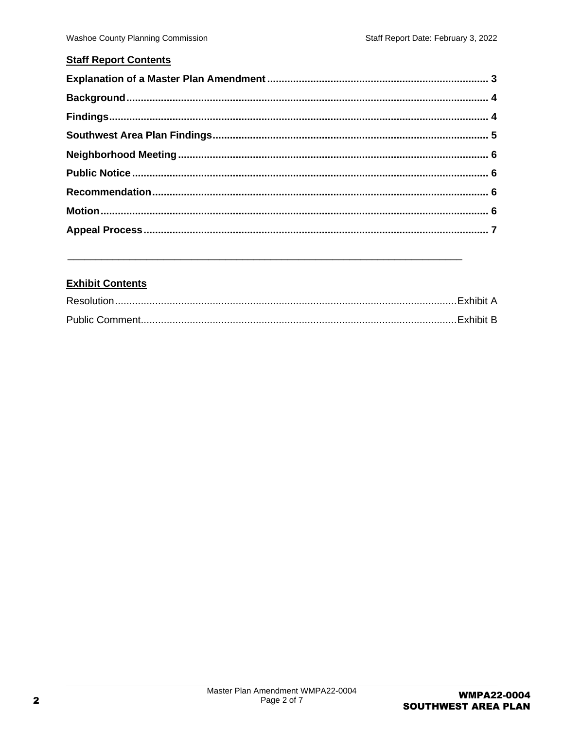## **Staff Report Contents**

## **Exhibit Contents**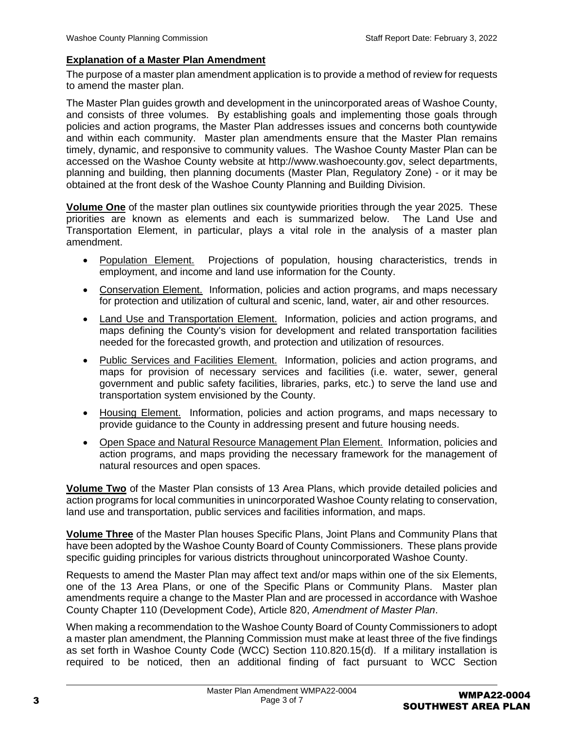### <span id="page-2-0"></span>**Explanation of a Master Plan Amendment**

The purpose of a master plan amendment application is to provide a method of review for requests to amend the master plan.

The Master Plan guides growth and development in the unincorporated areas of Washoe County, and consists of three volumes. By establishing goals and implementing those goals through policies and action programs, the Master Plan addresses issues and concerns both countywide and within each community. Master plan amendments ensure that the Master Plan remains timely, dynamic, and responsive to community values. The Washoe County Master Plan can be accessed on the Washoe County website at http://www.washoecounty.gov, select departments, planning and building, then planning documents (Master Plan, Regulatory Zone) - or it may be obtained at the front desk of the Washoe County Planning and Building Division.

**Volume One** of the master plan outlines six countywide priorities through the year 2025. These priorities are known as elements and each is summarized below. The Land Use and Transportation Element, in particular, plays a vital role in the analysis of a master plan amendment.

- Population Element.Projections of population, housing characteristics, trends in employment, and income and land use information for the County.
- Conservation Element.Information, policies and action programs, and maps necessary for protection and utilization of cultural and scenic, land, water, air and other resources.
- Land Use and Transportation Element.Information, policies and action programs, and maps defining the County's vision for development and related transportation facilities needed for the forecasted growth, and protection and utilization of resources.
- Public Services and Facilities Element.Information, policies and action programs, and maps for provision of necessary services and facilities (i.e. water, sewer, general government and public safety facilities, libraries, parks, etc.) to serve the land use and transportation system envisioned by the County.
- Housing Element.Information, policies and action programs, and maps necessary to provide guidance to the County in addressing present and future housing needs.
- Open Space and Natural Resource Management Plan Element.Information, policies and action programs, and maps providing the necessary framework for the management of natural resources and open spaces.

**Volume Two** of the Master Plan consists of 13 Area Plans, which provide detailed policies and action programs for local communities in unincorporated Washoe County relating to conservation, land use and transportation, public services and facilities information, and maps.

**Volume Three** of the Master Plan houses Specific Plans, Joint Plans and Community Plans that have been adopted by the Washoe County Board of County Commissioners. These plans provide specific guiding principles for various districts throughout unincorporated Washoe County.

Requests to amend the Master Plan may affect text and/or maps within one of the six Elements, one of the 13 Area Plans, or one of the Specific Plans or Community Plans. Master plan amendments require a change to the Master Plan and are processed in accordance with Washoe County Chapter 110 (Development Code), Article 820, *Amendment of Master Plan*.

When making a recommendation to the Washoe County Board of County Commissioners to adopt a master plan amendment, the Planning Commission must make at least three of the five findings as set forth in Washoe County Code (WCC) Section 110.820.15(d). If a military installation is required to be noticed, then an additional finding of fact pursuant to WCC Section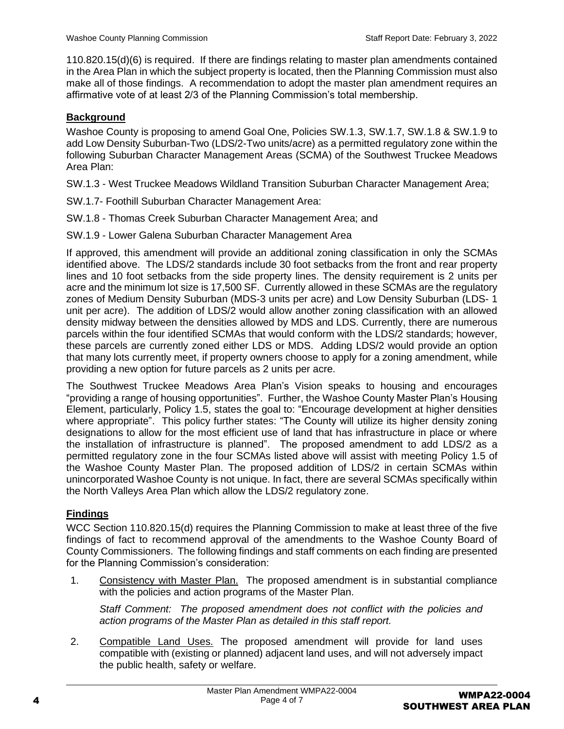110.820.15(d)(6) is required. If there are findings relating to master plan amendments contained in the Area Plan in which the subject property is located, then the Planning Commission must also make all of those findings. A recommendation to adopt the master plan amendment requires an affirmative vote of at least 2/3 of the Planning Commission's total membership.

## <span id="page-3-0"></span>**Background**

Washoe County is proposing to amend Goal One, Policies SW.1.3, SW.1.7, SW.1.8 & SW.1.9 to add Low Density Suburban-Two (LDS/2-Two units/acre) as a permitted regulatory zone within the following Suburban Character Management Areas (SCMA) of the Southwest Truckee Meadows Area Plan:

SW.1.3 - West Truckee Meadows Wildland Transition Suburban Character Management Area;

- SW.1.7- Foothill Suburban Character Management Area:
- SW.1.8 Thomas Creek Suburban Character Management Area; and
- SW.1.9 Lower Galena Suburban Character Management Area

If approved, this amendment will provide an additional zoning classification in only the SCMAs identified above. The LDS/2 standards include 30 foot setbacks from the front and rear property lines and 10 foot setbacks from the side property lines. The density requirement is 2 units per acre and the minimum lot size is 17,500 SF. Currently allowed in these SCMAs are the regulatory zones of Medium Density Suburban (MDS-3 units per acre) and Low Density Suburban (LDS- 1 unit per acre). The addition of LDS/2 would allow another zoning classification with an allowed density midway between the densities allowed by MDS and LDS. Currently, there are numerous parcels within the four identified SCMAs that would conform with the LDS/2 standards; however, these parcels are currently zoned either LDS or MDS. Adding LDS/2 would provide an option that many lots currently meet, if property owners choose to apply for a zoning amendment, while providing a new option for future parcels as 2 units per acre.

The Southwest Truckee Meadows Area Plan's Vision speaks to housing and encourages "providing a range of housing opportunities". Further, the Washoe County Master Plan's Housing Element, particularly, Policy 1.5, states the goal to: "Encourage development at higher densities where appropriate". This policy further states: "The County will utilize its higher density zoning designations to allow for the most efficient use of land that has infrastructure in place or where the installation of infrastructure is planned". The proposed amendment to add LDS/2 as a permitted regulatory zone in the four SCMAs listed above will assist with meeting Policy 1.5 of the Washoe County Master Plan. The proposed addition of LDS/2 in certain SCMAs within unincorporated Washoe County is not unique. In fact, there are several SCMAs specifically within the North Valleys Area Plan which allow the LDS/2 regulatory zone.

# <span id="page-3-1"></span>**Findings**

WCC Section 110.820.15(d) requires the Planning Commission to make at least three of the five findings of fact to recommend approval of the amendments to the Washoe County Board of County Commissioners. The following findings and staff comments on each finding are presented for the Planning Commission's consideration:

1. Consistency with Master Plan. The proposed amendment is in substantial compliance with the policies and action programs of the Master Plan.

*Staff Comment: The proposed amendment does not conflict with the policies and action programs of the Master Plan as detailed in this staff report.*

2. Compatible Land Uses. The proposed amendment will provide for land uses compatible with (existing or planned) adjacent land uses, and will not adversely impact the public health, safety or welfare.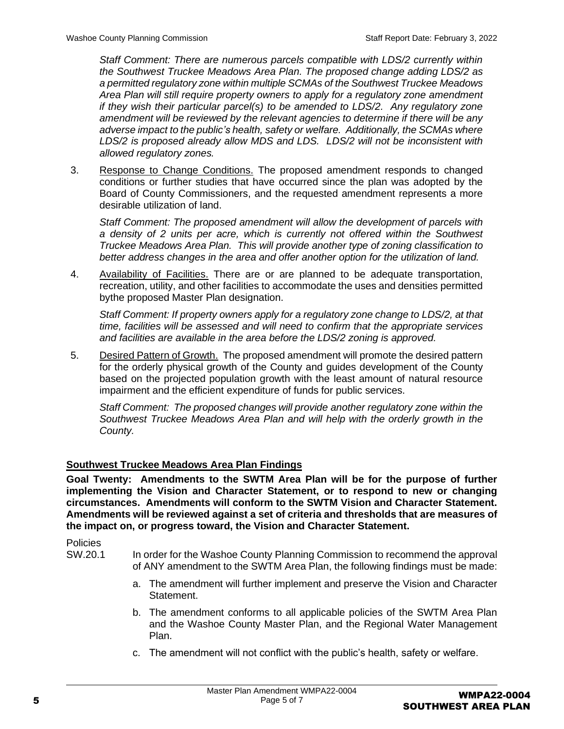*Staff Comment: There are numerous parcels compatible with LDS/2 currently within the Southwest Truckee Meadows Area Plan. The proposed change adding LDS/2 as a permitted regulatory zone within multiple SCMAs of the Southwest Truckee Meadows Area Plan will still require property owners to apply for a regulatory zone amendment if they wish their particular parcel(s) to be amended to LDS/2. Any regulatory zone amendment will be reviewed by the relevant agencies to determine if there will be any adverse impact to the public's health, safety or welfare. Additionally, the SCMAs where LDS/2 is proposed already allow MDS and LDS. LDS/2 will not be inconsistent with allowed regulatory zones.*

3. Response to Change Conditions. The proposed amendment responds to changed conditions or further studies that have occurred since the plan was adopted by the Board of County Commissioners, and the requested amendment represents a more desirable utilization of land.

*Staff Comment: The proposed amendment will allow the development of parcels with a density of 2 units per acre, which is currently not offered within the Southwest Truckee Meadows Area Plan. This will provide another type of zoning classification to better address changes in the area and offer another option for the utilization of land.*

4. Availability of Facilities. There are or are planned to be adequate transportation, recreation, utility, and other facilities to accommodate the uses and densities permitted bythe proposed Master Plan designation.

*Staff Comment: If property owners apply for a regulatory zone change to LDS/2, at that time, facilities will be assessed and will need to confirm that the appropriate services and facilities are available in the area before the LDS/2 zoning is approved.*

5. Desired Pattern of Growth. The proposed amendment will promote the desired pattern for the orderly physical growth of the County and guides development of the County based on the projected population growth with the least amount of natural resource impairment and the efficient expenditure of funds for public services.

*Staff Comment: The proposed changes will provide another regulatory zone within the Southwest Truckee Meadows Area Plan and will help with the orderly growth in the County.*

## <span id="page-4-0"></span>**Southwest Truckee Meadows Area Plan Findings**

**Goal Twenty: Amendments to the SWTM Area Plan will be for the purpose of further implementing the Vision and Character Statement, or to respond to new or changing circumstances. Amendments will conform to the SWTM Vision and Character Statement. Amendments will be reviewed against a set of criteria and thresholds that are measures of the impact on, or progress toward, the Vision and Character Statement.**

**Policies** 

- SW.20.1 In order for the Washoe County Planning Commission to recommend the approval of ANY amendment to the SWTM Area Plan, the following findings must be made:
	- a. The amendment will further implement and preserve the Vision and Character Statement.
	- b. The amendment conforms to all applicable policies of the SWTM Area Plan and the Washoe County Master Plan, and the Regional Water Management Plan.
	- c. The amendment will not conflict with the public's health, safety or welfare.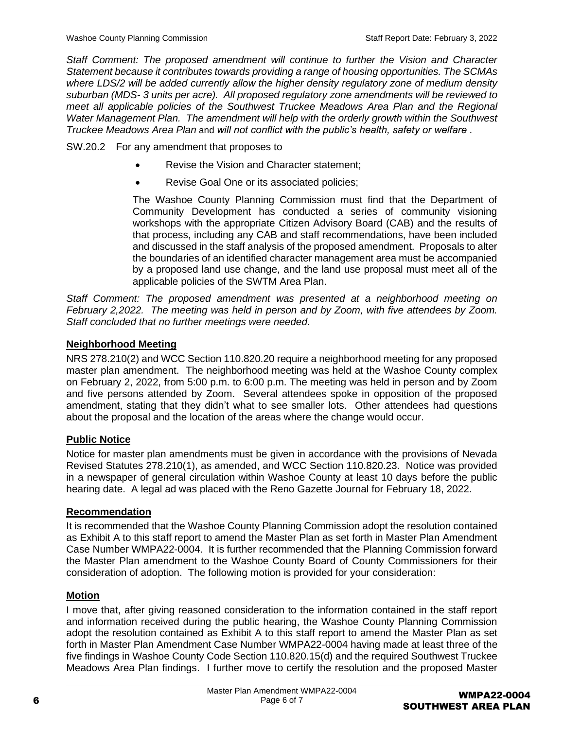*Staff Comment: The proposed amendment will continue to further the Vision and Character Statement because it contributes towards providing a range of housing opportunities. The SCMAs where LDS/2 will be added currently allow the higher density regulatory zone of medium density suburban (MDS- 3 units per acre). All proposed regulatory zone amendments will be reviewed to meet all applicable policies of the Southwest Truckee Meadows Area Plan and the Regional Water Management Plan. The amendment will help with the orderly growth within the Southwest Truckee Meadows Area Plan* and *will not conflict with the public's health, safety or welfare .*

SW.20.2 For any amendment that proposes to

- Revise the Vision and Character statement;
- Revise Goal One or its associated policies;

The Washoe County Planning Commission must find that the Department of Community Development has conducted a series of community visioning workshops with the appropriate Citizen Advisory Board (CAB) and the results of that process, including any CAB and staff recommendations, have been included and discussed in the staff analysis of the proposed amendment. Proposals to alter the boundaries of an identified character management area must be accompanied by a proposed land use change, and the land use proposal must meet all of the applicable policies of the SWTM Area Plan.

*Staff Comment: The proposed amendment was presented at a neighborhood meeting on February 2,2022. The meeting was held in person and by Zoom, with five attendees by Zoom. Staff concluded that no further meetings were needed.*

## <span id="page-5-0"></span>**Neighborhood Meeting**

NRS 278.210(2) and WCC Section 110.820.20 require a neighborhood meeting for any proposed master plan amendment. The neighborhood meeting was held at the Washoe County complex on February 2, 2022, from 5:00 p.m. to 6:00 p.m. The meeting was held in person and by Zoom and five persons attended by Zoom. Several attendees spoke in opposition of the proposed amendment, stating that they didn't what to see smaller lots. Other attendees had questions about the proposal and the location of the areas where the change would occur.

## <span id="page-5-1"></span>**Public Notice**

Notice for master plan amendments must be given in accordance with the provisions of Nevada Revised Statutes 278.210(1), as amended, and WCC Section 110.820.23. Notice was provided in a newspaper of general circulation within Washoe County at least 10 days before the public hearing date. A legal ad was placed with the Reno Gazette Journal for February 18, 2022.

### <span id="page-5-2"></span>**Recommendation**

It is recommended that the Washoe County Planning Commission adopt the resolution contained as Exhibit A to this staff report to amend the Master Plan as set forth in Master Plan Amendment Case Number WMPA22-0004. It is further recommended that the Planning Commission forward the Master Plan amendment to the Washoe County Board of County Commissioners for their consideration of adoption. The following motion is provided for your consideration:

## <span id="page-5-3"></span>**Motion**

I move that, after giving reasoned consideration to the information contained in the staff report and information received during the public hearing, the Washoe County Planning Commission adopt the resolution contained as Exhibit A to this staff report to amend the Master Plan as set forth in Master Plan Amendment Case Number WMPA22-0004 having made at least three of the five findings in Washoe County Code Section 110.820.15(d) and the required Southwest Truckee Meadows Area Plan findings. I further move to certify the resolution and the proposed Master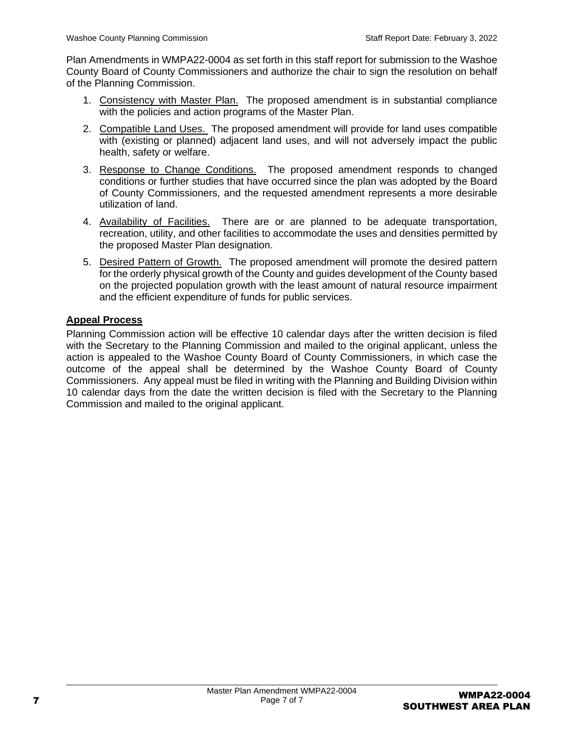Plan Amendments in WMPA22-0004 as set forth in this staff report for submission to the Washoe County Board of County Commissioners and authorize the chair to sign the resolution on behalf of the Planning Commission.

- 1. Consistency with Master Plan. The proposed amendment is in substantial compliance with the policies and action programs of the Master Plan.
- 2. Compatible Land Uses. The proposed amendment will provide for land uses compatible with (existing or planned) adjacent land uses, and will not adversely impact the public health, safety or welfare.
- 3. Response to Change Conditions. The proposed amendment responds to changed conditions or further studies that have occurred since the plan was adopted by the Board of County Commissioners, and the requested amendment represents a more desirable utilization of land.
- 4. Availability of Facilities. There are or are planned to be adequate transportation, recreation, utility, and other facilities to accommodate the uses and densities permitted by the proposed Master Plan designation.
- 5. Desired Pattern of Growth. The proposed amendment will promote the desired pattern for the orderly physical growth of the County and guides development of the County based on the projected population growth with the least amount of natural resource impairment and the efficient expenditure of funds for public services.

## <span id="page-6-0"></span>**Appeal Process**

Planning Commission action will be effective 10 calendar days after the written decision is filed with the Secretary to the Planning Commission and mailed to the original applicant, unless the action is appealed to the Washoe County Board of County Commissioners, in which case the outcome of the appeal shall be determined by the Washoe County Board of County Commissioners. Any appeal must be filed in writing with the Planning and Building Division within 10 calendar days from the date the written decision is filed with the Secretary to the Planning Commission and mailed to the original applicant.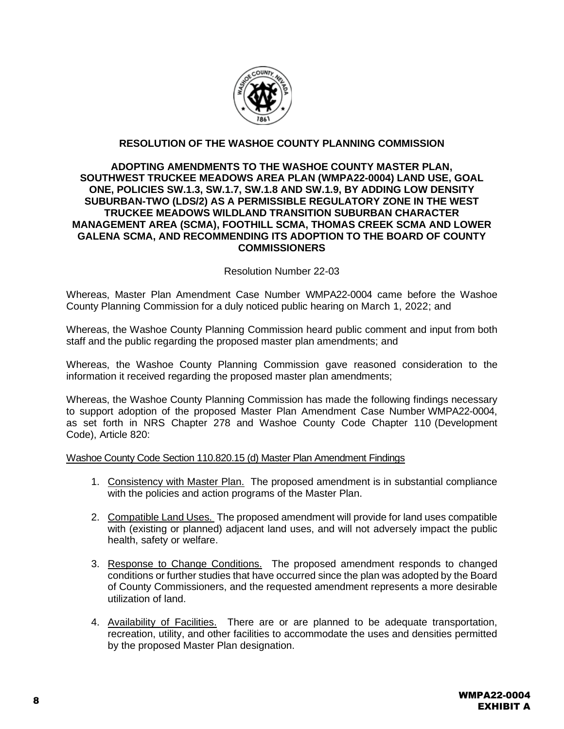

### **RESOLUTION OF THE WASHOE COUNTY PLANNING COMMISSION**

### **ADOPTING AMENDMENTS TO THE WASHOE COUNTY MASTER PLAN, SOUTHWEST TRUCKEE MEADOWS AREA PLAN (WMPA22-0004) LAND USE, GOAL ONE, POLICIES SW.1.3, SW.1.7, SW.1.8 AND SW.1.9, BY ADDING LOW DENSITY SUBURBAN-TWO (LDS/2) AS A PERMISSIBLE REGULATORY ZONE IN THE WEST TRUCKEE MEADOWS WILDLAND TRANSITION SUBURBAN CHARACTER MANAGEMENT AREA (SCMA), FOOTHILL SCMA, THOMAS CREEK SCMA AND LOWER GALENA SCMA, AND RECOMMENDING ITS ADOPTION TO THE BOARD OF COUNTY COMMISSIONERS**

### Resolution Number 22-03

Whereas, Master Plan Amendment Case Number WMPA22-0004 came before the Washoe County Planning Commission for a duly noticed public hearing on March 1, 2022; and

Whereas, the Washoe County Planning Commission heard public comment and input from both staff and the public regarding the proposed master plan amendments; and

Whereas, the Washoe County Planning Commission gave reasoned consideration to the information it received regarding the proposed master plan amendments;

Whereas, the Washoe County Planning Commission has made the following findings necessary to support adoption of the proposed Master Plan Amendment Case Number WMPA22-0004, as set forth in NRS Chapter 278 and Washoe County Code Chapter 110 (Development Code), Article 820:

#### Washoe County Code Section 110.820.15 (d) Master Plan Amendment Findings

- 1. Consistency with Master Plan. The proposed amendment is in substantial compliance with the policies and action programs of the Master Plan.
- 2. Compatible Land Uses. The proposed amendment will provide for land uses compatible with (existing or planned) adjacent land uses, and will not adversely impact the public health, safety or welfare.
- 3. Response to Change Conditions. The proposed amendment responds to changed conditions or further studies that have occurred since the plan was adopted by the Board of County Commissioners, and the requested amendment represents a more desirable utilization of land.
- 4. Availability of Facilities. There are or are planned to be adequate transportation, recreation, utility, and other facilities to accommodate the uses and densities permitted by the proposed Master Plan designation.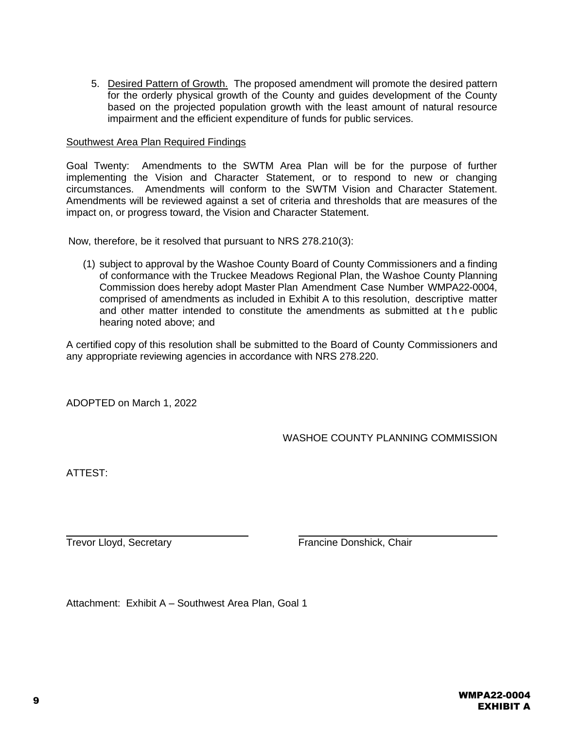5. Desired Pattern of Growth. The proposed amendment will promote the desired pattern for the orderly physical growth of the County and guides development of the County based on the projected population growth with the least amount of natural resource impairment and the efficient expenditure of funds for public services.

#### Southwest Area Plan Required Findings

Goal Twenty: Amendments to the SWTM Area Plan will be for the purpose of further implementing the Vision and Character Statement, or to respond to new or changing circumstances. Amendments will conform to the SWTM Vision and Character Statement. Amendments will be reviewed against a set of criteria and thresholds that are measures of the impact on, or progress toward, the Vision and Character Statement.

Now, therefore, be it resolved that pursuant to NRS 278.210(3):

(1) subject to approval by the Washoe County Board of County Commissioners and a finding of conformance with the Truckee Meadows Regional Plan, the Washoe County Planning Commission does hereby adopt Master Plan Amendment Case Number WMPA22-0004, comprised of amendments as included in Exhibit A to this resolution, descriptive matter and other matter intended to constitute the amendments as submitted at the public hearing noted above; and

A certified copy of this resolution shall be submitted to the Board of County Commissioners and any appropriate reviewing agencies in accordance with NRS 278.220.

ADOPTED on March 1, 2022

WASHOE COUNTY PLANNING COMMISSION

ATTEST:

Trevor Lloyd, Secretary **Francine Donshick, Chair** 

Attachment: Exhibit A – Southwest Area Plan, Goal 1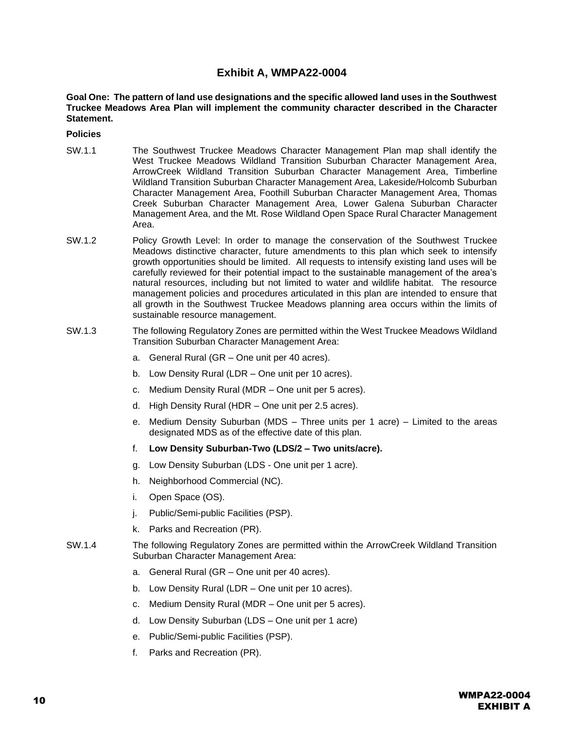### **Exhibit A, WMPA22-0004**

**Goal One: The pattern of land use designations and the specific allowed land uses in the Southwest Truckee Meadows Area Plan will implement the community character described in the Character Statement.**

**Policies**

- SW.1.1 The Southwest Truckee Meadows Character Management Plan map shall identify the West Truckee Meadows Wildland Transition Suburban Character Management Area, ArrowCreek Wildland Transition Suburban Character Management Area, Timberline Wildland Transition Suburban Character Management Area, Lakeside/Holcomb Suburban Character Management Area, Foothill Suburban Character Management Area, Thomas Creek Suburban Character Management Area, Lower Galena Suburban Character Management Area, and the Mt. Rose Wildland Open Space Rural Character Management Area.
- SW.1.2 Policy Growth Level: In order to manage the conservation of the Southwest Truckee Meadows distinctive character, future amendments to this plan which seek to intensify growth opportunities should be limited. All requests to intensify existing land uses will be carefully reviewed for their potential impact to the sustainable management of the area's natural resources, including but not limited to water and wildlife habitat. The resource management policies and procedures articulated in this plan are intended to ensure that all growth in the Southwest Truckee Meadows planning area occurs within the limits of sustainable resource management.
- SW.1.3 The following Regulatory Zones are permitted within the West Truckee Meadows Wildland Transition Suburban Character Management Area:
	- a. General Rural (GR One unit per 40 acres).
	- b. Low Density Rural (LDR One unit per 10 acres).
	- c. Medium Density Rural (MDR One unit per 5 acres).
	- d. High Density Rural (HDR One unit per 2.5 acres).
	- e. Medium Density Suburban (MDS Three units per 1 acre) Limited to the areas designated MDS as of the effective date of this plan.
	- f. **Low Density Suburban-Two (LDS/2 – Two units/acre).**
	- g. Low Density Suburban (LDS One unit per 1 acre).
	- h. Neighborhood Commercial (NC).
	- i. Open Space (OS).
	- j. Public/Semi-public Facilities (PSP).
	- k. Parks and Recreation (PR).
- SW.1.4 The following Regulatory Zones are permitted within the ArrowCreek Wildland Transition Suburban Character Management Area:
	- a. General Rural (GR One unit per 40 acres).
	- b. Low Density Rural (LDR One unit per 10 acres).
	- c. Medium Density Rural (MDR One unit per 5 acres).
	- d. Low Density Suburban (LDS One unit per 1 acre)
	- e. Public/Semi-public Facilities (PSP).
	- f. Parks and Recreation (PR).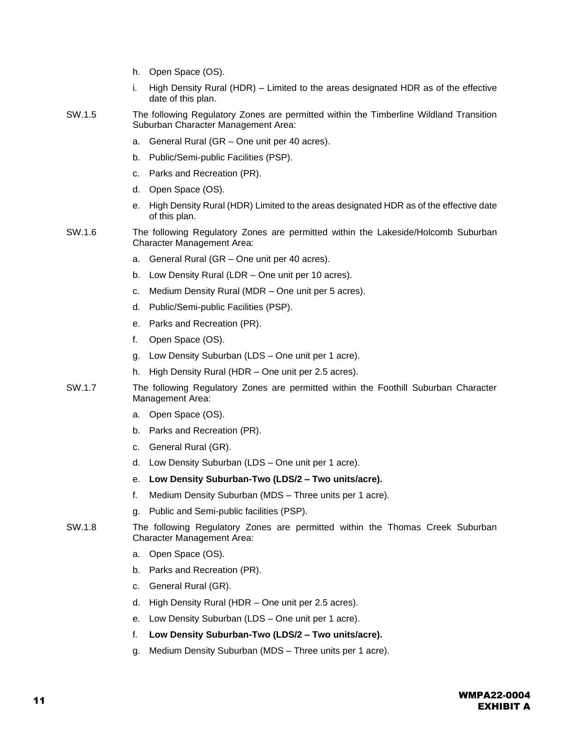|        | h. | Open Space (OS).                                                                                                              |
|--------|----|-------------------------------------------------------------------------------------------------------------------------------|
|        | i. | High Density Rural (HDR) – Limited to the areas designated HDR as of the effective<br>date of this plan.                      |
| SW.1.5 |    | The following Regulatory Zones are permitted within the Timberline Wildland Transition<br>Suburban Character Management Area: |
|        | а. | General Rural (GR - One unit per 40 acres).                                                                                   |
|        | b. | Public/Semi-public Facilities (PSP).                                                                                          |
|        | c. | Parks and Recreation (PR).                                                                                                    |
|        | d. | Open Space (OS).                                                                                                              |
|        | е. | High Density Rural (HDR) Limited to the areas designated HDR as of the effective date<br>of this plan.                        |
| SW.1.6 |    | The following Regulatory Zones are permitted within the Lakeside/Holcomb Suburban<br><b>Character Management Area:</b>        |
|        | a. | General Rural (GR - One unit per 40 acres).                                                                                   |
|        | b. | Low Density Rural (LDR - One unit per 10 acres).                                                                              |
|        | c. | Medium Density Rural (MDR - One unit per 5 acres).                                                                            |
|        | d. | Public/Semi-public Facilities (PSP).                                                                                          |
|        | е. | Parks and Recreation (PR).                                                                                                    |
|        | f. | Open Space (OS).                                                                                                              |
|        | g. | Low Density Suburban (LDS - One unit per 1 acre).                                                                             |
|        | h. | High Density Rural (HDR – One unit per 2.5 acres).                                                                            |
| SW.1.7 |    | The following Regulatory Zones are permitted within the Foothill Suburban Character<br>Management Area:                       |
|        | а. | Open Space (OS).                                                                                                              |
|        | b. | Parks and Recreation (PR).                                                                                                    |
|        | c. | General Rural (GR).                                                                                                           |
|        | d. | Low Density Suburban (LDS - One unit per 1 acre).                                                                             |
|        | е. | Low Density Suburban-Two (LDS/2 - Two units/acre).                                                                            |
|        | f. | Medium Density Suburban (MDS - Three units per 1 acre).                                                                       |
|        | g. | Public and Semi-public facilities (PSP).                                                                                      |
| SW.1.8 |    | The following Regulatory Zones are permitted within the Thomas Creek Suburban<br><b>Character Management Area:</b>            |
|        | а. | Open Space (OS).                                                                                                              |
|        | b. | Parks and Recreation (PR).                                                                                                    |
|        | c. | General Rural (GR).                                                                                                           |
|        | d. | High Density Rural (HDR – One unit per 2.5 acres).                                                                            |
|        | е. | Low Density Suburban (LDS - One unit per 1 acre).                                                                             |
|        | f. | Low Density Suburban-Two (LDS/2 - Two units/acre).                                                                            |
|        | g. | Medium Density Suburban (MDS - Three units per 1 acre).                                                                       |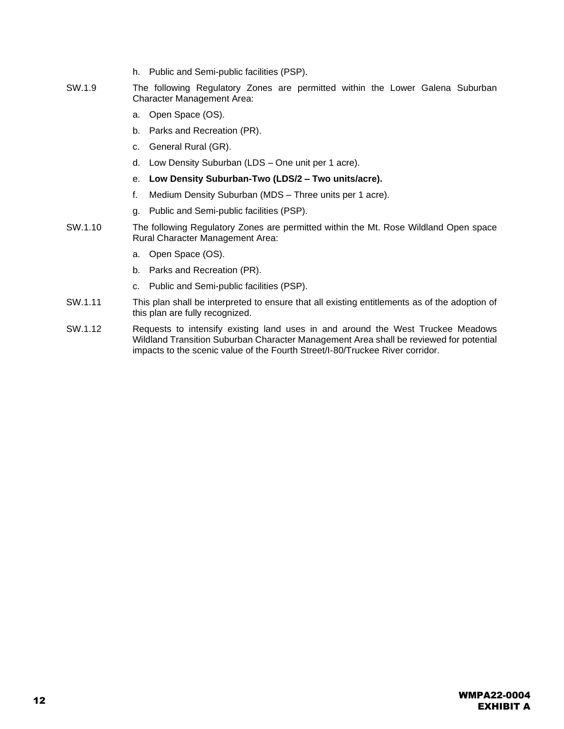- h. Public and Semi-public facilities (PSP).
- SW.1.9 The following Regulatory Zones are permitted within the Lower Galena Suburban Character Management Area:
	- a. Open Space (OS).
	- b. Parks and Recreation (PR).
	- c. General Rural (GR).
	- d. Low Density Suburban (LDS One unit per 1 acre).
	- e. **Low Density Suburban-Two (LDS/2 – Two units/acre).**
	- f. Medium Density Suburban (MDS Three units per 1 acre).
	- g. Public and Semi-public facilities (PSP).
- SW.1.10 The following Regulatory Zones are permitted within the Mt. Rose Wildland Open space Rural Character Management Area:
	- a. Open Space (OS).
	- b. Parks and Recreation (PR).
	- c. Public and Semi-public facilities (PSP).
- SW.1.11 This plan shall be interpreted to ensure that all existing entitlements as of the adoption of this plan are fully recognized.
- SW.1.12 Requests to intensify existing land uses in and around the West Truckee Meadows Wildland Transition Suburban Character Management Area shall be reviewed for potential impacts to the scenic value of the Fourth Street/I-80/Truckee River corridor.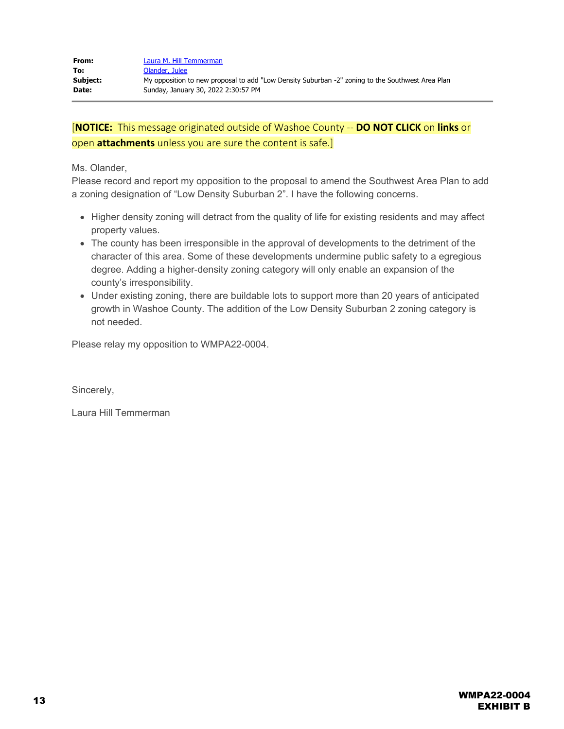Ms. Olander,

Please record and report my opposition to the proposal to amend the Southwest Area Plan to add a zoning designation of "Low Density Suburban 2". I have the following concerns.

- Higher density zoning will detract from the quality of life for existing residents and may affect property values.
- The county has been irresponsible in the approval of developments to the detriment of the character of this area. Some of these developments undermine public safety to a egregious degree. Adding a higher-density zoning category will only enable an expansion of the county's irresponsibility.
- Under existing zoning, there are buildable lots to support more than 20 years of anticipated growth in Washoe County. The addition of the Low Density Suburban 2 zoning category is not needed.

Please relay my opposition to WMPA22-0004.

Sincerely,

Laura Hill Temmerman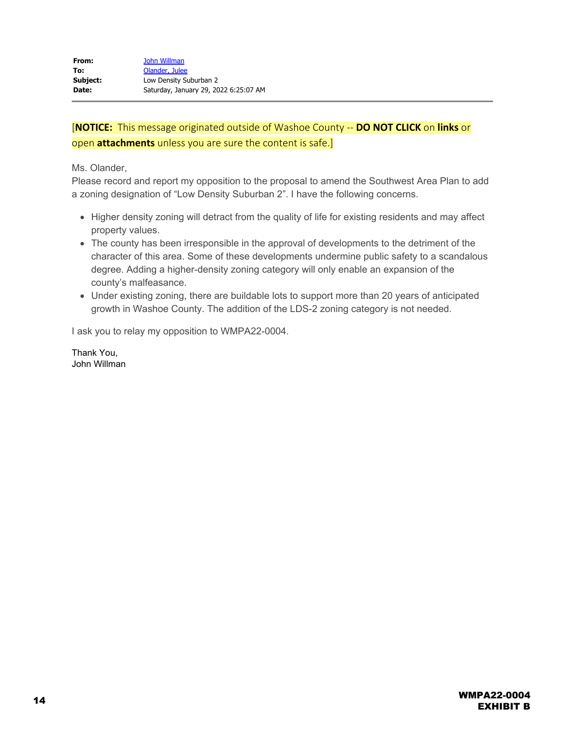Ms. Olander,

Please record and report my opposition to the proposal to amend the Southwest Area Plan to add a zoning designation of "Low Density Suburban 2". I have the following concerns.

- Higher density zoning will detract from the quality of life for existing residents and may affect property values.
- The county has been irresponsible in the approval of developments to the detriment of the character of this area. Some of these developments undermine public safety to a scandalous degree. Adding a higher-density zoning category will only enable an expansion of the county's malfeasance.
- Under existing zoning, there are buildable lots to support more than 20 years of anticipated growth in Washoe County. The addition of the LDS-2 zoning category is not needed.

I ask you to relay my opposition to WMPA22-0004.

Thank You, John Willman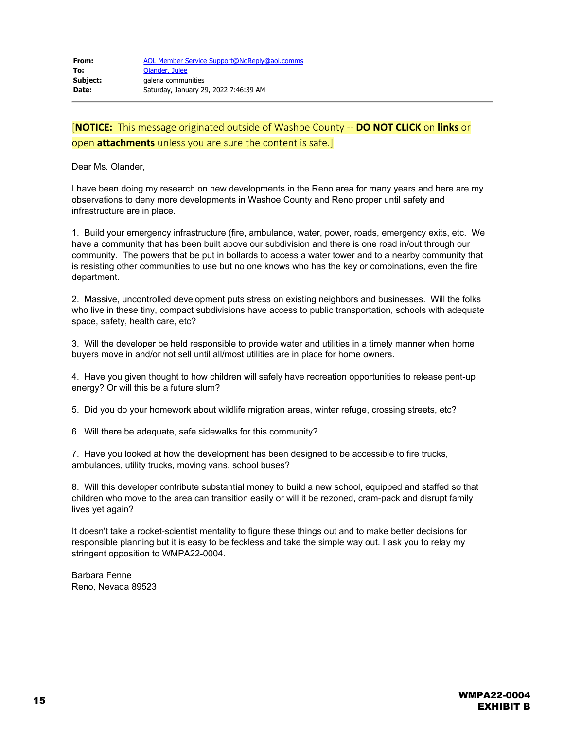Dear Ms. Olander,

I have been doing my research on new developments in the Reno area for many years and here are my observations to deny more developments in Washoe County and Reno proper until safety and infrastructure are in place.

1. Build your emergency infrastructure (fire, ambulance, water, power, roads, emergency exits, etc. We have a community that has been built above our subdivision and there is one road in/out through our community. The powers that be put in bollards to access a water tower and to a nearby community that is resisting other communities to use but no one knows who has the key or combinations, even the fire department.

2. Massive, uncontrolled development puts stress on existing neighbors and businesses. Will the folks who live in these tiny, compact subdivisions have access to public transportation, schools with adequate space, safety, health care, etc?

3. Will the developer be held responsible to provide water and utilities in a timely manner when home buyers move in and/or not sell until all/most utilities are in place for home owners.

4. Have you given thought to how children will safely have recreation opportunities to release pent-up energy? Or will this be a future slum?

5. Did you do your homework about wildlife migration areas, winter refuge, crossing streets, etc?

6. Will there be adequate, safe sidewalks for this community?

7. Have you looked at how the development has been designed to be accessible to fire trucks, ambulances, utility trucks, moving vans, school buses?

8. Will this developer contribute substantial money to build a new school, equipped and staffed so that children who move to the area can transition easily or will it be rezoned, cram-pack and disrupt family lives yet again?

It doesn't take a rocket-scientist mentality to figure these things out and to make better decisions for responsible planning but it is easy to be feckless and take the simple way out. I ask you to relay my stringent opposition to WMPA22-0004.

Barbara Fenne Reno, Nevada 89523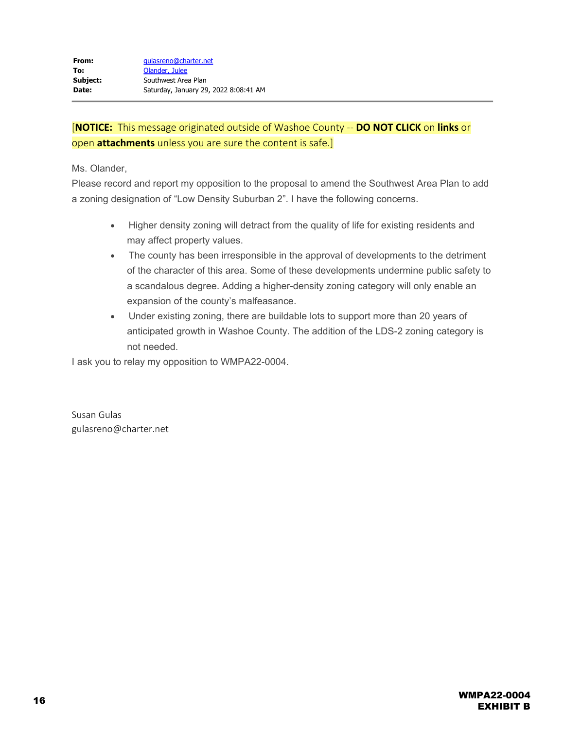Ms. Olander,

Please record and report my opposition to the proposal to amend the Southwest Area Plan to add a zoning designation of "Low Density Suburban 2". I have the following concerns.

- · Higher density zoning will detract from the quality of life for existing residents and may affect property values.
- · The county has been irresponsible in the approval of developments to the detriment of the character of this area. Some of these developments undermine public safety to a scandalous degree. Adding a higher-density zoning category will only enable an expansion of the county's malfeasance.
- · Under existing zoning, there are buildable lots to support more than 20 years of anticipated growth in Washoe County. The addition of the LDS-2 zoning category is not needed.

I ask you to relay my opposition to WMPA22-0004.

Susan Gulas gulasreno@charter.net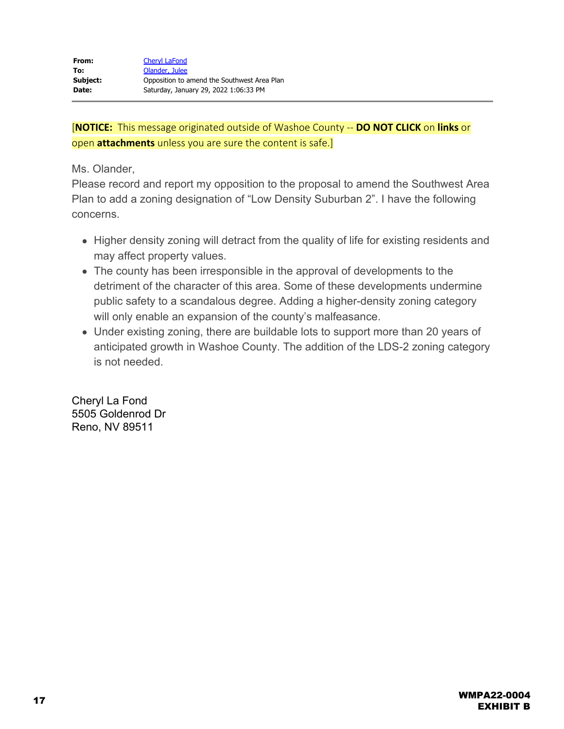Ms. Olander,

Please record and report my opposition to the proposal to amend the Southwest Area Plan to add a zoning designation of "Low Density Suburban 2". I have the following concerns.

- Higher density zoning will detract from the quality of life for existing residents and may affect property values.
- The county has been irresponsible in the approval of developments to the detriment of the character of this area. Some of these developments undermine public safety to a scandalous degree. Adding a higher-density zoning category will only enable an expansion of the county's malfeasance.
- Under existing zoning, there are buildable lots to support more than 20 years of anticipated growth in Washoe County. The addition of the LDS-2 zoning category is not needed.

Cheryl La Fond 5505 Goldenrod Dr Reno, NV 89511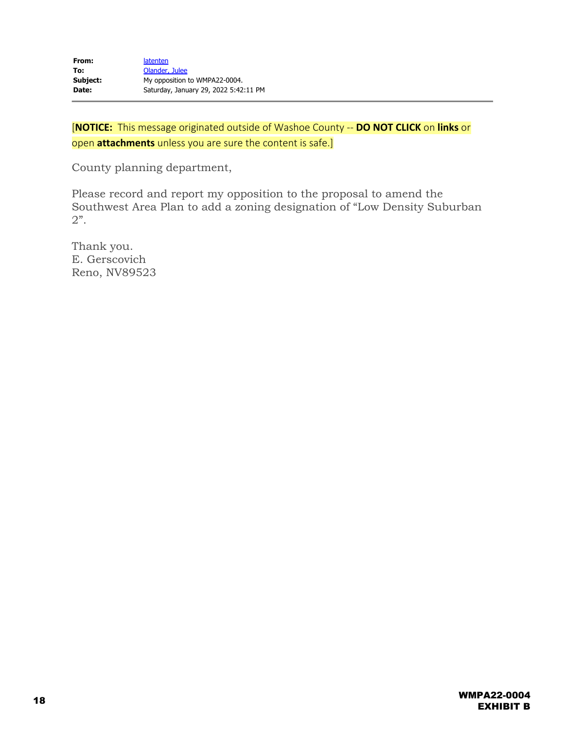County planning department,

Please record and report my opposition to the proposal to amend the Southwest Area Plan to add a zoning designation of "Low Density Suburban 2".

Thank you. E. Gerscovich Reno, NV89523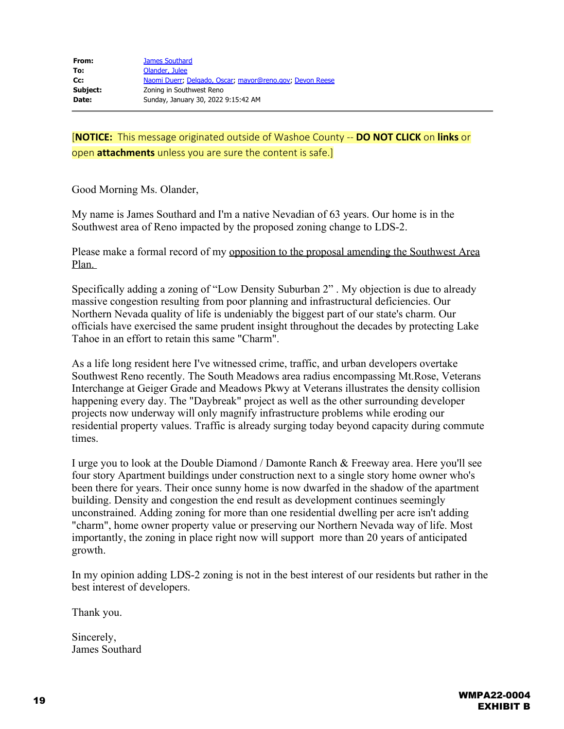Good Morning Ms. Olander,

My name is James Southard and I'm a native Nevadian of 63 years. Our home is in the Southwest area of Reno impacted by the proposed zoning change to LDS-2.

Please make a formal record of my opposition to the proposal amending the Southwest Area Plan.

Specifically adding a zoning of "Low Density Suburban 2" . My objection is due to already massive congestion resulting from poor planning and infrastructural deficiencies. Our Northern Nevada quality of life is undeniably the biggest part of our state's charm. Our officials have exercised the same prudent insight throughout the decades by protecting Lake Tahoe in an effort to retain this same "Charm".

As a life long resident here I've witnessed crime, traffic, and urban developers overtake Southwest Reno recently. The South Meadows area radius encompassing Mt.Rose, Veterans Interchange at Geiger Grade and Meadows Pkwy at Veterans illustrates the density collision happening every day. The "Daybreak" project as well as the other surrounding developer projects now underway will only magnify infrastructure problems while eroding our residential property values. Traffic is already surging today beyond capacity during commute times.

I urge you to look at the Double Diamond / Damonte Ranch & Freeway area. Here you'll see four story Apartment buildings under construction next to a single story home owner who's been there for years. Their once sunny home is now dwarfed in the shadow of the apartment building. Density and congestion the end result as development continues seemingly unconstrained. Adding zoning for more than one residential dwelling per acre isn't adding "charm", home owner property value or preserving our Northern Nevada way of life. Most importantly, the zoning in place right now will support more than 20 years of anticipated growth.

In my opinion adding LDS-2 zoning is not in the best interest of our residents but rather in the best interest of developers.

Thank you.

Sincerely, James Southard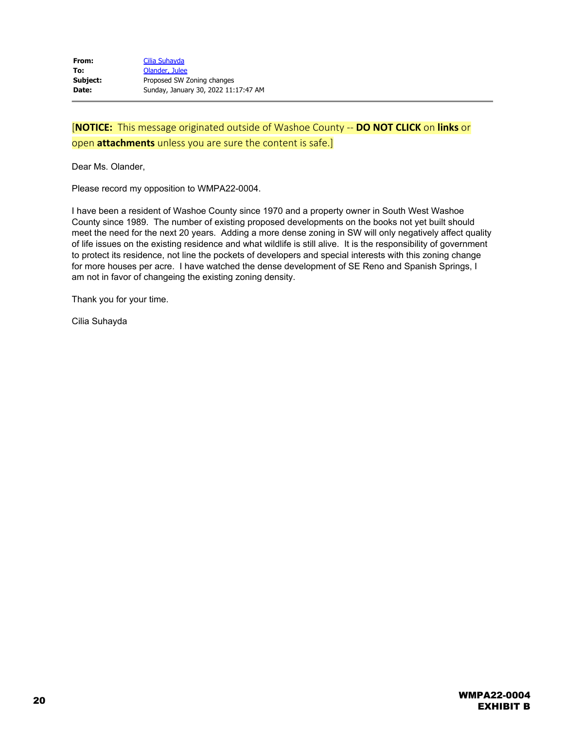Dear Ms. Olander,

Please record my opposition to WMPA22-0004.

I have been a resident of Washoe County since 1970 and a property owner in South West Washoe County since 1989. The number of existing proposed developments on the books not yet built should meet the need for the next 20 years. Adding a more dense zoning in SW will only negatively affect quality of life issues on the existing residence and what wildlife is still alive. It is the responsibility of government to protect its residence, not line the pockets of developers and special interests with this zoning change for more houses per acre. I have watched the dense development of SE Reno and Spanish Springs, I am not in favor of changeing the existing zoning density.

Thank you for your time.

Cilia Suhayda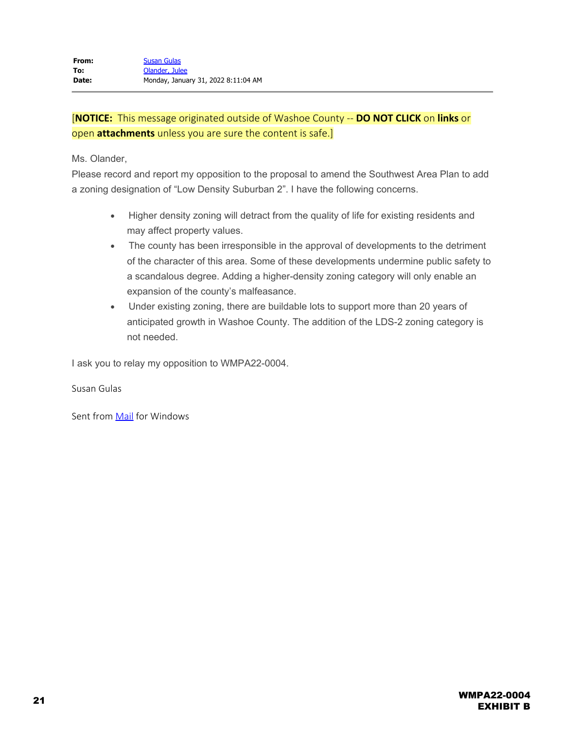Ms. Olander,

Please record and report my opposition to the proposal to amend the Southwest Area Plan to add a zoning designation of "Low Density Suburban 2". I have the following concerns.

- · Higher density zoning will detract from the quality of life for existing residents and may affect property values.
- · The county has been irresponsible in the approval of developments to the detriment of the character of this area. Some of these developments undermine public safety to a scandalous degree. Adding a higher-density zoning category will only enable an expansion of the county's malfeasance.
- · Under existing zoning, there are buildable lots to support more than 20 years of anticipated growth in Washoe County. The addition of the LDS-2 zoning category is not needed.

I ask you to relay my opposition to WMPA22-0004.

Susan Gulas

Sent from **Mail** for Windows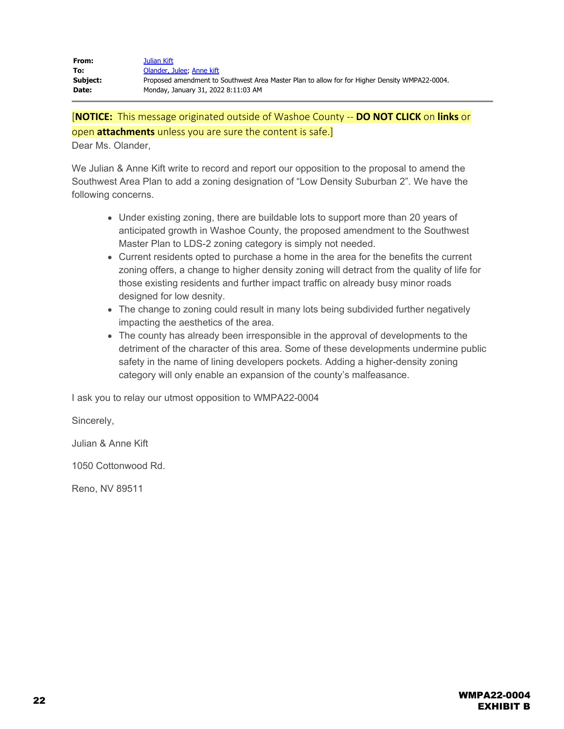| From:    | Julian Kift                                                                                   |
|----------|-----------------------------------------------------------------------------------------------|
| To:      | Olander, Julee: Anne kift                                                                     |
| Subject: | Proposed amendment to Southwest Area Master Plan to allow for for Higher Density WMPA22-0004. |
| Date:    | Monday, January 31, 2022 8:11:03 AM                                                           |

Dear Ms. Olander,

We Julian & Anne Kift write to record and report our opposition to the proposal to amend the Southwest Area Plan to add a zoning designation of "Low Density Suburban 2". We have the following concerns.

- Under existing zoning, there are buildable lots to support more than 20 years of anticipated growth in Washoe County, the proposed amendment to the Southwest Master Plan to LDS-2 zoning category is simply not needed.
- Current residents opted to purchase a home in the area for the benefits the current zoning offers, a change to higher density zoning will detract from the quality of life for those existing residents and further impact traffic on already busy minor roads designed for low desnity.
- The change to zoning could result in many lots being subdivided further negatively impacting the aesthetics of the area.
- The county has already been irresponsible in the approval of developments to the detriment of the character of this area. Some of these developments undermine public safety in the name of lining developers pockets. Adding a higher-density zoning category will only enable an expansion of the county's malfeasance.

I ask you to relay our utmost opposition to WMPA22-0004

Sincerely,

Julian & Anne Kift

1050 Cottonwood Rd.

Reno, NV 89511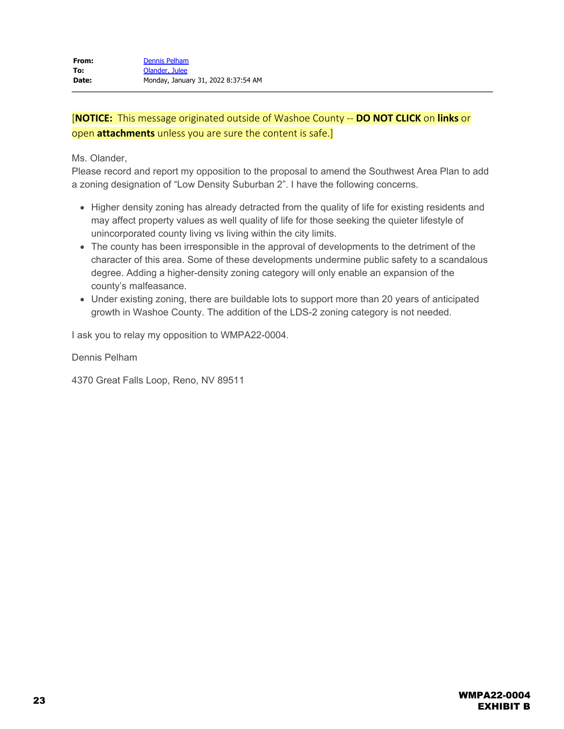Ms. Olander,

Please record and report my opposition to the proposal to amend the Southwest Area Plan to add a zoning designation of "Low Density Suburban 2". I have the following concerns.

- Higher density zoning has already detracted from the quality of life for existing residents and may affect property values as well quality of life for those seeking the quieter lifestyle of unincorporated county living vs living within the city limits.
- The county has been irresponsible in the approval of developments to the detriment of the character of this area. Some of these developments undermine public safety to a scandalous degree. Adding a higher-density zoning category will only enable an expansion of the county's malfeasance.
- Under existing zoning, there are buildable lots to support more than 20 years of anticipated growth in Washoe County. The addition of the LDS-2 zoning category is not needed.

I ask you to relay my opposition to WMPA22-0004.

Dennis Pelham

4370 Great Falls Loop, Reno, NV 89511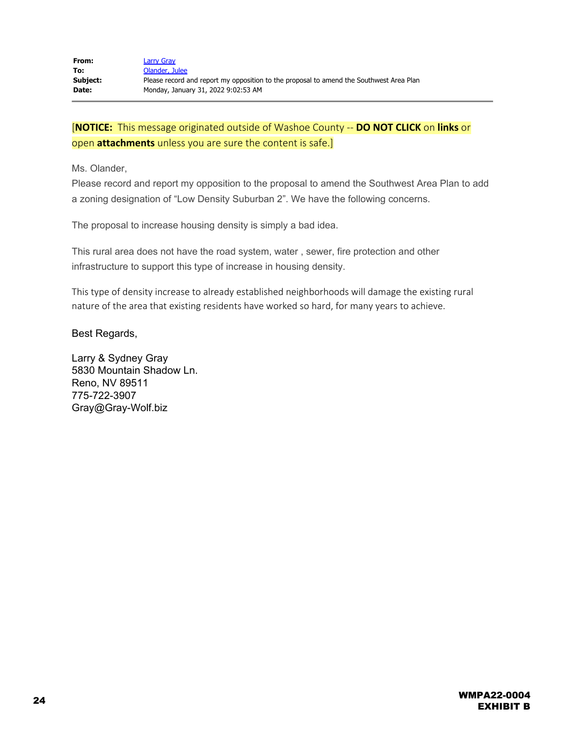Ms. Olander,

Please record and report my opposition to the proposal to amend the Southwest Area Plan to add a zoning designation of "Low Density Suburban 2". We have the following concerns.

The proposal to increase housing density is simply a bad idea.

This rural area does not have the road system, water , sewer, fire protection and other infrastructure to support this type of increase in housing density.

This type of density increase to already established neighborhoods will damage the existing rural nature of the area that existing residents have worked so hard, for many years to achieve.

### Best Regards,

Larry & Sydney Gray 5830 Mountain Shadow Ln. Reno, NV 89511 775-722-3907 Gray@Gray-Wolf.biz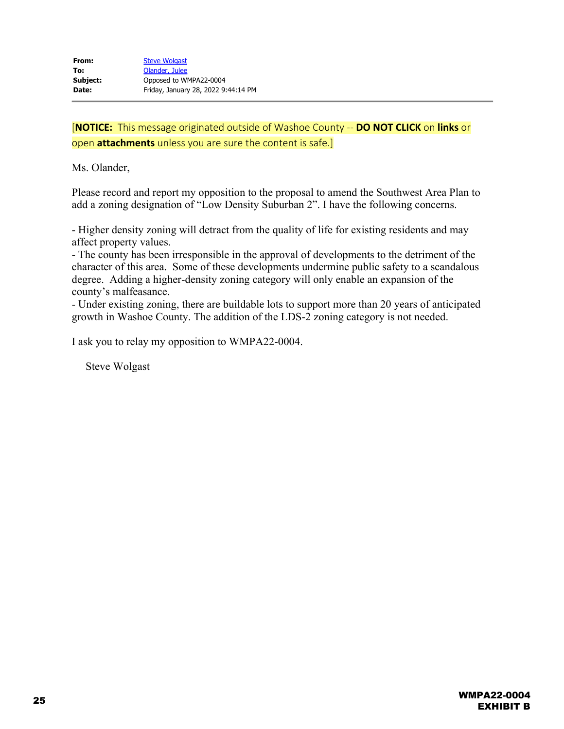Ms. Olander,

Please record and report my opposition to the proposal to amend the Southwest Area Plan to add a zoning designation of "Low Density Suburban 2". I have the following concerns.

- Higher density zoning will detract from the quality of life for existing residents and may affect property values.

- The county has been irresponsible in the approval of developments to the detriment of the character of this area. Some of these developments undermine public safety to a scandalous degree. Adding a higher-density zoning category will only enable an expansion of the county's malfeasance.

- Under existing zoning, there are buildable lots to support more than 20 years of anticipated growth in Washoe County. The addition of the LDS-2 zoning category is not needed.

I ask you to relay my opposition to WMPA22-0004.

Steve Wolgast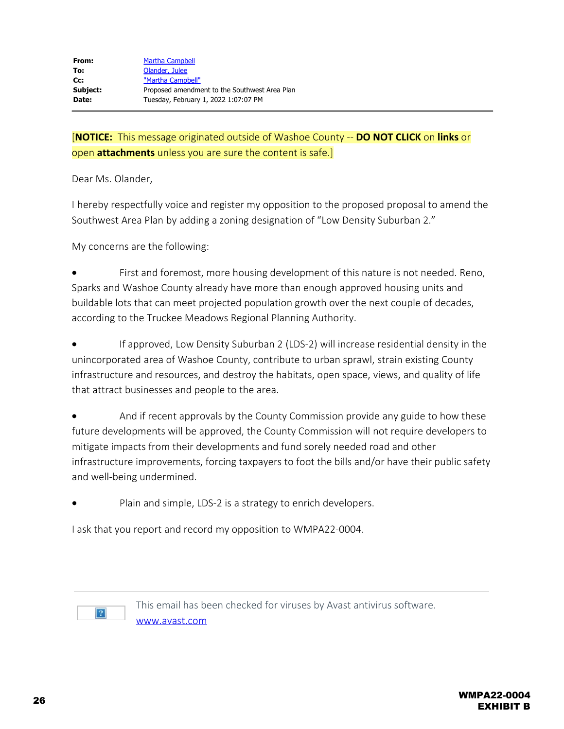Dear Ms. Olander,

I hereby respectfully voice and register my opposition to the proposed proposal to amend the Southwest Area Plan by adding a zoning designation of "Low Density Suburban 2."

My concerns are the following:

First and foremost, more housing development of this nature is not needed. Reno, Sparks and Washoe County already have more than enough approved housing units and buildable lots that can meet projected population growth over the next couple of decades, according to the Truckee Meadows Regional Planning Authority.

If approved, Low Density Suburban 2 (LDS-2) will increase residential density in the unincorporated area of Washoe County, contribute to urban sprawl, strain existing County infrastructure and resources, and destroy the habitats, open space, views, and quality of life that attract businesses and people to the area.

And if recent approvals by the County Commission provide any guide to how these future developments will be approved, the County Commission will not require developers to mitigate impacts from their developments and fund sorely needed road and other infrastructure improvements, forcing taxpayers to foot the bills and/or have their public safety and well-being undermined.

Plain and simple, LDS-2 is a strategy to enrich developers.

I ask that you report and record my opposition to WMPA22-0004.



This email has been checked for viruses by Avast antivirus software. [www.avast.com](https://protect-us.mimecast.com/s/bQNACR6nNAugnEWDu96BmJ?domain=avast.com)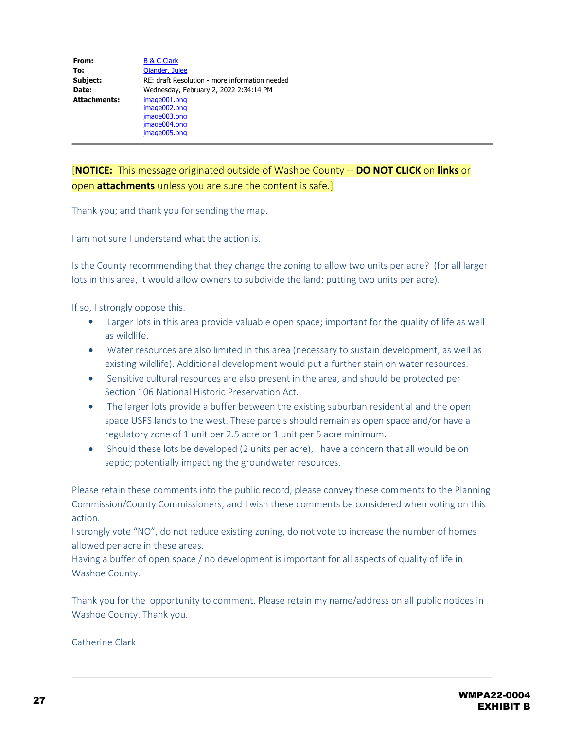| From:               | <b>B &amp; C Clark</b>                         |
|---------------------|------------------------------------------------|
| To:                 | Olander, Julee                                 |
| Subject:            | RE: draft Resolution - more information needed |
| Date:               | Wednesday, February 2, 2022 2:34:14 PM         |
| <b>Attachments:</b> | image001.png                                   |
|                     | image002.png                                   |
|                     | image003.png                                   |
|                     | image004.png                                   |
|                     | image005.png                                   |

Thank you; and thank you for sending the map.

I am not sure I understand what the action is.

Is the County recommending that they change the zoning to allow two units per acre? (for all larger lots in this area, it would allow owners to subdivide the land; putting two units per acre).

If so, I strongly oppose this.

- Larger lots in this area provide valuable open space; important for the quality of life as well as wildlife.
- · Water resources are also limited in this area (necessary to sustain development, as well as existing wildlife). Additional development would put a further stain on water resources.
- · Sensitive cultural resources are also present in the area, and should be protected per Section 106 National Historic Preservation Act.
- The larger lots provide a buffer between the existing suburban residential and the open space USFS lands to the west. These parcels should remain as open space and/or have a regulatory zone of 1 unit per 2.5 acre or 1 unit per 5 acre minimum.
- Should these lots be developed (2 units per acre), I have a concern that all would be on septic; potentially impacting the groundwater resources.

Please retain these comments into the public record, please convey these comments to the Planning Commission/County Commissioners, and I wish these comments be considered when voting on this action.

I strongly vote "NO", do not reduce existing zoning, do not vote to increase the number of homes allowed per acre in these areas.

Having a buffer of open space / no development is important for all aspects of quality of life in Washoe County.

Thank you for the opportunity to comment. Please retain my name/address on all public notices in Washoe County. Thank you.

Catherine Clark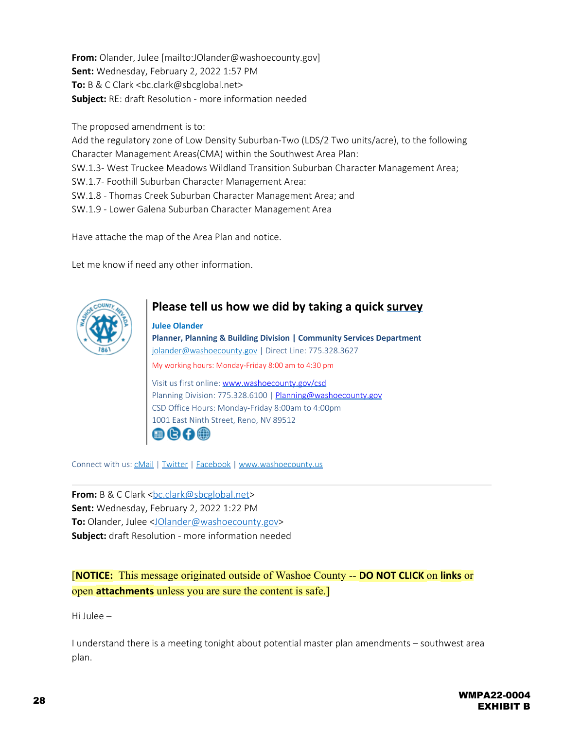**From:** Olander, Julee [mailto:JOlander@washoecounty.gov] **Sent:** Wednesday, February 2, 2022 1:57 PM **To:** B & C Clark <bc.clark@sbcglobal.net> **Subject:** RE: draft Resolution - more information needed

The proposed amendment is to:

Add the regulatory zone of Low Density Suburban-Two (LDS/2 Two units/acre), to the following Character Management Areas(CMA) within the Southwest Area Plan:

SW.1.3- West Truckee Meadows Wildland Transition Suburban Character Management Area;

SW.1.7- Foothill Suburban Character Management Area:

SW.1.8 - Thomas Creek Suburban Character Management Area; and

SW.1.9 - Lower Galena Suburban Character Management Area

Have attache the map of the Area Plan and notice.

Let me know if need any other information.



# **Please tell us how we did by taking a quick [survey](https://protect-us.mimecast.com/s/VGHXClYL1whzz2vPTgrhXY?domain=forms.office.com)**

**Julee Olander Planner, Planning & Building Division | Community Services Department** [jolander@washoecounty.gov](mailto:jolander@washoecounty.gov) | Direct Line: 775.328.3627 My working hours: Monday-Friday 8:00 am to 4:30 pm Visit us first online: [www.washoecounty.gov/csd](https://protect-us.mimecast.com/s/vUtwC82AVZTww6KPf16U8v?domain=washoecounty.gov) Planning Division: 775.328.6100 | [Planning@washoecounty.gov](mailto:Planning@washoecounty.gov) CSD Office Hours: Monday-Friday 8:00am to 4:00pm 1001 East Ninth Street, Reno, NV 89512  $0000$ 

Connect with us: [cMail](http://www.washoecounty.us/cMail) | [Twitter](https://protect-us.mimecast.com/s/1zp9CjRM1rIyynvGtnjL8H?domain=twitter.com) | [Facebook](https://protect-us.mimecast.com/s/PKpxCkRK1vIqqOpXikGgjl?domain=facebook.com) | [www.washoecounty.us](http://www.washoecounty.us/)

**From:** B & C Clark <[bc.clark@sbcglobal.net](mailto:bc.clark@sbcglobal.net)> **Sent:** Wednesday, February 2, 2022 1:22 PM **To:** Olander, Julee [<JOlander@washoecounty.gov](mailto:JOlander@washoecounty.gov)> **Subject:** draft Resolution - more information needed

[**NOTICE:** This message originated outside of Washoe County -- **DO NOT CLICK** on **links** or open **attachments** unless you are sure the content is safe.]

Hi Julee –

I understand there is a meeting tonight about potential master plan amendments – southwest area plan.